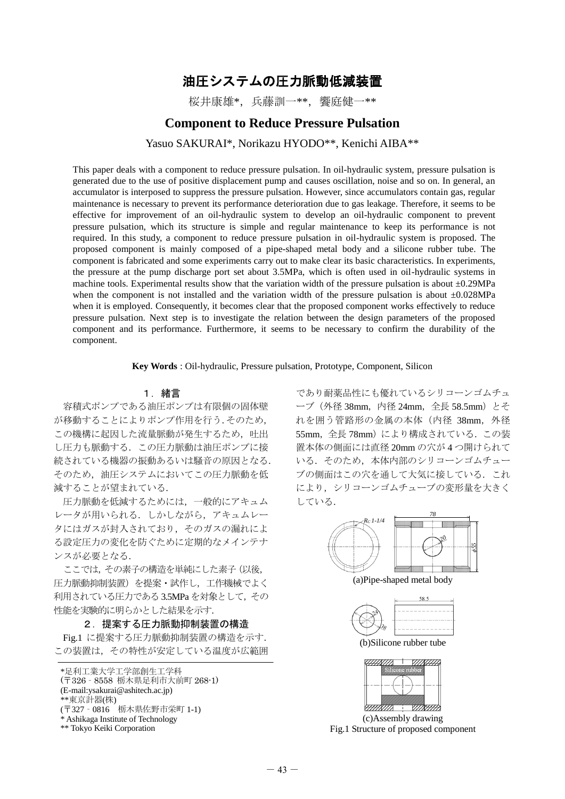# 油圧システムの圧力脈動低減装置

桜井康雄\*,兵藤訓一\*\*,饗庭健一\*\*

## **Component to Reduce Pressure Pulsation**

Yasuo SAKURAI\*, Norikazu HYODO\*\*, Kenichi AIBA\*\*

This paper deals with a component to reduce pressure pulsation. In oil-hydraulic system, pressure pulsation is generated due to the use of positive displacement pump and causes oscillation, noise and so on. In general, an accumulator is interposed to suppress the pressure pulsation. However, since accumulators contain gas, regular maintenance is necessary to prevent its performance deterioration due to gas leakage. Therefore, it seems to be effective for improvement of an oil-hydraulic system to develop an oil-hydraulic component to prevent pressure pulsation, which its structure is simple and regular maintenance to keep its performance is not required. In this study, a component to reduce pressure pulsation in oil-hydraulic system is proposed. The proposed component is mainly composed of a pipe-shaped metal body and a silicone rubber tube. The component is fabricated and some experiments carry out to make clear its basic characteristics. In experiments, the pressure at the pump discharge port set about 3.5MPa, which is often used in oil-hydraulic systems in machine tools. Experimental results show that the variation width of the pressure pulsation is about ±0.29MPa when the component is not installed and the variation width of the pressure pulsation is about  $\pm 0.028$ MPa when it is employed. Consequently, it becomes clear that the proposed component works effectively to reduce pressure pulsation. Next step is to investigate the relation between the design parameters of the proposed component and its performance. Furthermore, it seems to be necessary to confirm the durability of the component.

**Key Words** : Oil-hydraulic, Pressure pulsation, Prototype, Component, Silicon

### 1.緒言

容積式ポンプである油圧ポンプは有限個の固体壁 が移動することによりポンプ作用を行う.そのため, この機構に起因した流量脈動が発生するため、吐出 し圧力も脈動する.この圧力脈動は油圧ポンプに接 続されている機器の振動あるいは騒音の原因となる. そのため,油圧システムにおいてこの圧力脈動を低 減することが望まれている.

圧力脈動を低減するためには,一般的にアキュム レータが用いられる.しかしながら,アキュムレー タにはガスが封入されており,そのガスの漏れによ る設定圧力の変化を防ぐために定期的なメインテナ ンスが必要となる.

ここでは,その素子の構造を単純にした素子(以後, 圧力脈動抑制装置)を提案・試作し,工作機械でよく 利用されている圧力である3.5MPa を対象として,その 性能を実験的に明らかとした結果を示す.

2. 提案する圧力脈動抑制装置の構造

Fig.1 に提案する圧力脈動抑制装置の構造を示す. この装置は、その特性が安定している温度が広範囲

であり耐薬品性にも優れているシリコーンゴムチュ ーブ (外径 38mm, 内径 24mm, 全長 58.5mm) とそ れを囲う管路形の金属の本体 (内径 38mm, 外径 55mm, 全長 78mm)により構成されている. この装 置本体の側面には直径 20mm の穴が 4 つ開けられて いる. そのため、本体内部のシリコーンゴムチュー ブの側面はこの穴を通して大気に接している.これ により,シリコーンゴムチューブの変形量を大きく している.



(a)Pipe-shaped metal body



(b)Silicone rubber tube



(c)Assembly drawing Fig.1 Structure of proposed component

<sup>\*</sup>足利工業大学工学部創生工学科 (〒326‐8558 栃木県足利市大前町 268-1) (E-mail:ysakurai@ashitech.ac.jp)

<sup>\*\*</sup>東京計器(株)

<sup>(</sup>〒327‐0816 栃木県佐野市栄町 1-1)

<sup>\*</sup> Ashikaga Institute of Technology

<sup>\*\*</sup> Tokyo Keiki Corporation